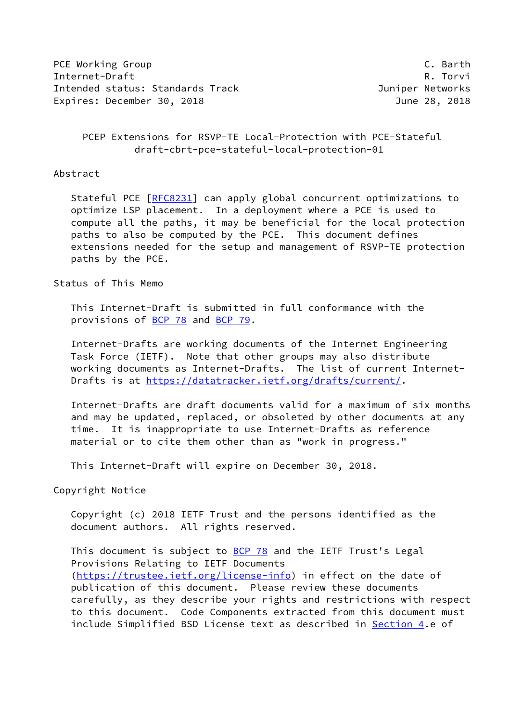PCE Working Group **C. Barth** Internet-Draft R. Torvi Intended status: Standards Track and a status Juniper Networks Expires: December 30, 2018 **IVE 2018** June 28, 2018

# PCEP Extensions for RSVP-TE Local-Protection with PCE-Stateful draft-cbrt-pce-stateful-local-protection-01

#### Abstract

 Stateful PCE [\[RFC8231](https://datatracker.ietf.org/doc/pdf/rfc8231)] can apply global concurrent optimizations to optimize LSP placement. In a deployment where a PCE is used to compute all the paths, it may be beneficial for the local protection paths to also be computed by the PCE. This document defines extensions needed for the setup and management of RSVP-TE protection paths by the PCE.

Status of This Memo

 This Internet-Draft is submitted in full conformance with the provisions of [BCP 78](https://datatracker.ietf.org/doc/pdf/bcp78) and [BCP 79](https://datatracker.ietf.org/doc/pdf/bcp79).

 Internet-Drafts are working documents of the Internet Engineering Task Force (IETF). Note that other groups may also distribute working documents as Internet-Drafts. The list of current Internet- Drafts is at<https://datatracker.ietf.org/drafts/current/>.

 Internet-Drafts are draft documents valid for a maximum of six months and may be updated, replaced, or obsoleted by other documents at any time. It is inappropriate to use Internet-Drafts as reference material or to cite them other than as "work in progress."

This Internet-Draft will expire on December 30, 2018.

Copyright Notice

 Copyright (c) 2018 IETF Trust and the persons identified as the document authors. All rights reserved.

This document is subject to **[BCP 78](https://datatracker.ietf.org/doc/pdf/bcp78)** and the IETF Trust's Legal Provisions Relating to IETF Documents [\(https://trustee.ietf.org/license-info](https://trustee.ietf.org/license-info)) in effect on the date of publication of this document. Please review these documents carefully, as they describe your rights and restrictions with respect to this document. Code Components extracted from this document must include Simplified BSD License text as described in [Section 4.](#page-3-0)e of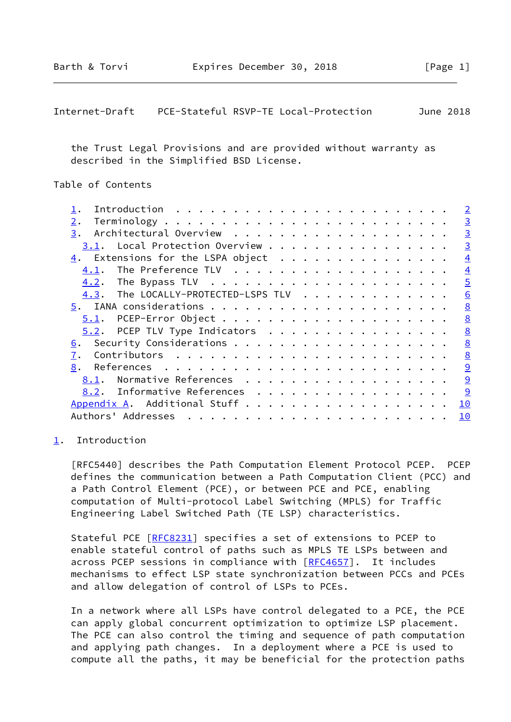<span id="page-1-1"></span>

| Internet-Draft |  | PCE-Stateful RSVP-TE Local-Protection | June 2018 |
|----------------|--|---------------------------------------|-----------|
|----------------|--|---------------------------------------|-----------|

 the Trust Legal Provisions and are provided without warranty as described in the Simplified BSD License.

# Table of Contents

|                                                                            | $\overline{2}$ |
|----------------------------------------------------------------------------|----------------|
| 2.                                                                         | $\overline{3}$ |
| 3.                                                                         | $\overline{3}$ |
| 3.1. Local Protection Overview                                             | $\overline{3}$ |
| $\frac{4}{5}$ . Extensions for the LSPA object                             | $\overline{4}$ |
| 4.1.                                                                       | $\overline{4}$ |
|                                                                            | $\overline{5}$ |
| 4.3. The LOCALLY-PROTECTED-LSPS TLV                                        | 6              |
|                                                                            | 8              |
|                                                                            | 8              |
| $5.2$ . PCEP TLV Type Indicators                                           | 8              |
| 6.                                                                         | 8              |
| 7.                                                                         | 8              |
| 8.<br>References $\ldots \ldots \ldots \ldots \ldots \ldots \ldots \ldots$ | 9              |
| Normative References<br>8.1.                                               | 9              |
| 8.2. Informative References                                                | 9              |
| Appendix A. Additional Stuff                                               | 10             |
| Authors' Addresses                                                         | 10             |
|                                                                            |                |

### <span id="page-1-0"></span>[1](#page-1-0). Introduction

 [RFC5440] describes the Path Computation Element Protocol PCEP. PCEP defines the communication between a Path Computation Client (PCC) and a Path Control Element (PCE), or between PCE and PCE, enabling computation of Multi-protocol Label Switching (MPLS) for Traffic Engineering Label Switched Path (TE LSP) characteristics.

Stateful PCE [\[RFC8231](https://datatracker.ietf.org/doc/pdf/rfc8231)] specifies a set of extensions to PCEP to enable stateful control of paths such as MPLS TE LSPs between and across PCEP sessions in compliance with [\[RFC4657](https://datatracker.ietf.org/doc/pdf/rfc4657)]. It includes mechanisms to effect LSP state synchronization between PCCs and PCEs and allow delegation of control of LSPs to PCEs.

 In a network where all LSPs have control delegated to a PCE, the PCE can apply global concurrent optimization to optimize LSP placement. The PCE can also control the timing and sequence of path computation and applying path changes. In a deployment where a PCE is used to compute all the paths, it may be beneficial for the protection paths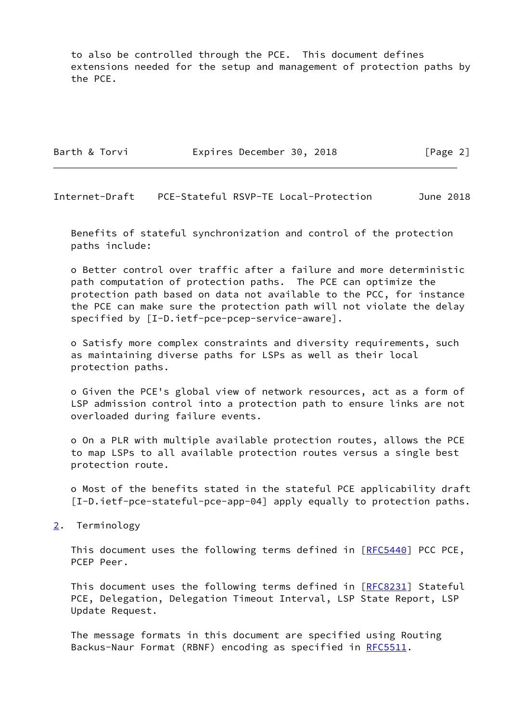to also be controlled through the PCE. This document defines extensions needed for the setup and management of protection paths by the PCE.

Barth & Torvi **Expires December 30, 2018** [Page 2]

<span id="page-2-1"></span>Internet-Draft PCE-Stateful RSVP-TE Local-Protection June 2018

 Benefits of stateful synchronization and control of the protection paths include:

 o Better control over traffic after a failure and more deterministic path computation of protection paths. The PCE can optimize the protection path based on data not available to the PCC, for instance the PCE can make sure the protection path will not violate the delay specified by [I-D.ietf-pce-pcep-service-aware].

 o Satisfy more complex constraints and diversity requirements, such as maintaining diverse paths for LSPs as well as their local protection paths.

 o Given the PCE's global view of network resources, act as a form of LSP admission control into a protection path to ensure links are not overloaded during failure events.

 o On a PLR with multiple available protection routes, allows the PCE to map LSPs to all available protection routes versus a single best protection route.

 o Most of the benefits stated in the stateful PCE applicability draft [I-D.ietf-pce-stateful-pce-app-04] apply equally to protection paths.

<span id="page-2-0"></span>[2](#page-2-0). Terminology

This document uses the following terms defined in [[RFC5440](https://datatracker.ietf.org/doc/pdf/rfc5440)] PCC PCE, PCEP Peer.

This document uses the following terms defined in [[RFC8231](https://datatracker.ietf.org/doc/pdf/rfc8231)] Stateful PCE, Delegation, Delegation Timeout Interval, LSP State Report, LSP Update Request.

 The message formats in this document are specified using Routing Backus-Naur Format (RBNF) encoding as specified in [RFC5511](https://datatracker.ietf.org/doc/pdf/rfc5511).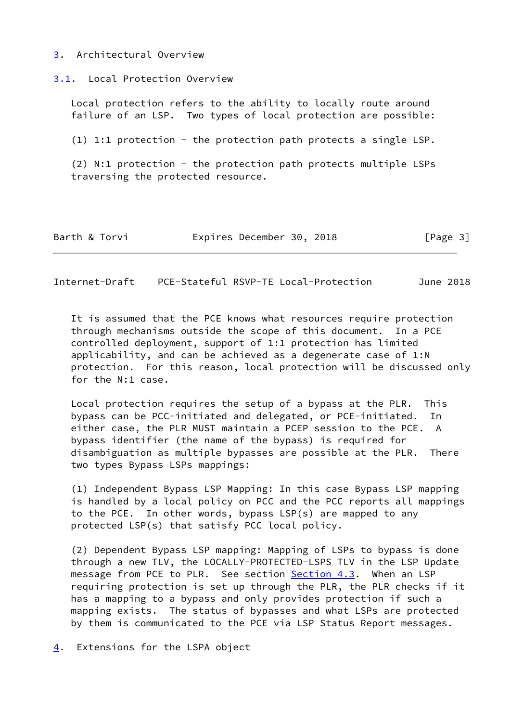### <span id="page-3-1"></span>[3](#page-3-1). Architectural Overview

<span id="page-3-2"></span>[3.1](#page-3-2). Local Protection Overview

 Local protection refers to the ability to locally route around failure of an LSP. Two types of local protection are possible:

 $(1)$  1:1 protection - the protection path protects a single LSP.

 (2) N:1 protection - the protection path protects multiple LSPs traversing the protected resource.

| Barth & Torvi | Expires December 30, 2018 |  | [Page 3] |
|---------------|---------------------------|--|----------|
|---------------|---------------------------|--|----------|

<span id="page-3-3"></span>Internet-Draft PCE-Stateful RSVP-TE Local-Protection June 2018

 It is assumed that the PCE knows what resources require protection through mechanisms outside the scope of this document. In a PCE controlled deployment, support of 1:1 protection has limited applicability, and can be achieved as a degenerate case of 1:N protection. For this reason, local protection will be discussed only for the N:1 case.

 Local protection requires the setup of a bypass at the PLR. This bypass can be PCC-initiated and delegated, or PCE-initiated. In either case, the PLR MUST maintain a PCEP session to the PCE. A bypass identifier (the name of the bypass) is required for disambiguation as multiple bypasses are possible at the PLR. There two types Bypass LSPs mappings:

 (1) Independent Bypass LSP Mapping: In this case Bypass LSP mapping is handled by a local policy on PCC and the PCC reports all mappings to the PCE. In other words, bypass LSP(s) are mapped to any protected LSP(s) that satisfy PCC local policy.

 (2) Dependent Bypass LSP mapping: Mapping of LSPs to bypass is done through a new TLV, the LOCALLY-PROTECTED-LSPS TLV in the LSP Update message from PCE to PLR. See section [Section 4.3](#page-6-0). When an LSP requiring protection is set up through the PLR, the PLR checks if it has a mapping to a bypass and only provides protection if such a mapping exists. The status of bypasses and what LSPs are protected by them is communicated to the PCE via LSP Status Report messages.

<span id="page-3-0"></span>[4](#page-3-0). Extensions for the LSPA object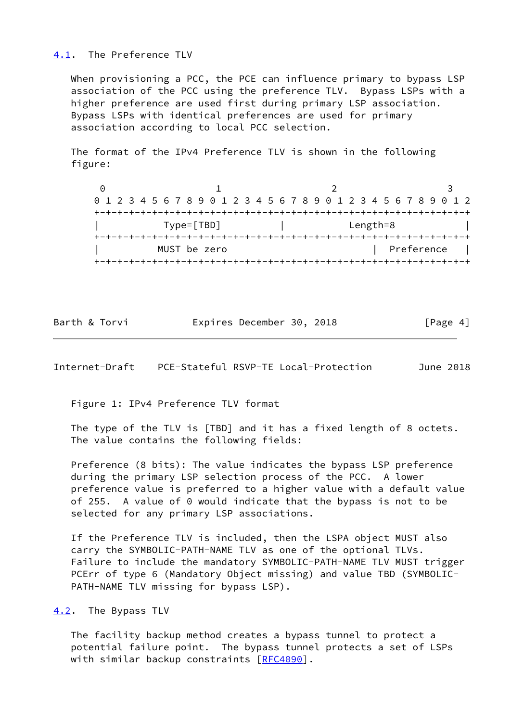### <span id="page-4-0"></span>[4.1](#page-4-0). The Preference TLV

 When provisioning a PCC, the PCE can influence primary to bypass LSP association of the PCC using the preference TLV. Bypass LSPs with a higher preference are used first during primary LSP association. Bypass LSPs with identical preferences are used for primary association according to local PCC selection.

 The format of the IPv4 Preference TLV is shown in the following figure:

 $0$  1 2 3 0 1 2 3 4 5 6 7 8 9 0 1 2 3 4 5 6 7 8 9 0 1 2 3 4 5 6 7 8 9 0 1 2 +-+-+-+-+-+-+-+-+-+-+-+-+-+-+-+-+-+-+-+-+-+-+-+-+-+-+-+-+-+-+-+-+ | Type=[TBD] | Length=8 | +-+-+-+-+-+-+-+-+-+-+-+-+-+-+-+-+-+-+-+-+-+-+-+-+-+-+-+-+-+-+-+-+ MUST be zero  $|$  Preference  $|$ +-+-+-+-+-+-+-+-+-+-+-+-+-+-+-+-+-+-+-+-+-+-+-+-+-+-+-+-+-+-+-+-+

|  | Barth & Torvi | Expires December 30, 2018 |  | [Page 4] |  |
|--|---------------|---------------------------|--|----------|--|
|  |               |                           |  |          |  |

<span id="page-4-2"></span>Internet-Draft PCE-Stateful RSVP-TE Local-Protection June 2018

Figure 1: IPv4 Preference TLV format

 The type of the TLV is [TBD] and it has a fixed length of 8 octets. The value contains the following fields:

 Preference (8 bits): The value indicates the bypass LSP preference during the primary LSP selection process of the PCC. A lower preference value is preferred to a higher value with a default value of 255. A value of 0 would indicate that the bypass is not to be selected for any primary LSP associations.

 If the Preference TLV is included, then the LSPA object MUST also carry the SYMBOLIC-PATH-NAME TLV as one of the optional TLVs. Failure to include the mandatory SYMBOLIC-PATH-NAME TLV MUST trigger PCErr of type 6 (Mandatory Object missing) and value TBD (SYMBOLIC- PATH-NAME TLV missing for bypass LSP).

<span id="page-4-1"></span>[4.2](#page-4-1). The Bypass TLV

 The facility backup method creates a bypass tunnel to protect a potential failure point. The bypass tunnel protects a set of LSPs with similar backup constraints [\[RFC4090](https://datatracker.ietf.org/doc/pdf/rfc4090)].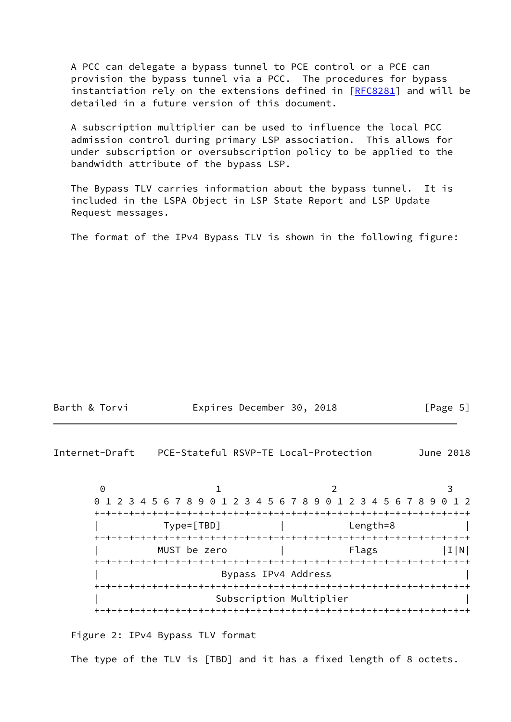A PCC can delegate a bypass tunnel to PCE control or a PCE can provision the bypass tunnel via a PCC. The procedures for bypass instantiation rely on the extensions defined in [\[RFC8281](https://datatracker.ietf.org/doc/pdf/rfc8281)] and will be detailed in a future version of this document.

 A subscription multiplier can be used to influence the local PCC admission control during primary LSP association. This allows for under subscription or oversubscription policy to be applied to the bandwidth attribute of the bypass LSP.

 The Bypass TLV carries information about the bypass tunnel. It is included in the LSPA Object in LSP State Report and LSP Update Request messages.

The format of the IPv4 Bypass TLV is shown in the following figure:

| Barth & Torvi | Expires December 30, 2018 |  | [Page 5] |
|---------------|---------------------------|--|----------|
|---------------|---------------------------|--|----------|

<span id="page-5-0"></span>Internet-Draft PCE-Stateful RSVP-TE Local-Protection June 2018

 $0$  1 2 3 0 1 2 3 4 5 6 7 8 9 0 1 2 3 4 5 6 7 8 9 0 1 2 3 4 5 6 7 8 9 0 1 2 +-+-+-+-+-+-+-+-+-+-+-+-+-+-+-+-+-+-+-+-+-+-+-+-+-+-+-+-+-+-+-+-+ | Type=[TBD] | Length=8 | +-+-+-+-+-+-+-+-+-+-+-+-+-+-+-+-+-+-+-+-+-+-+-+-+-+-+-+-+-+-+-+-+ MUST be zero  $|$  Flags  $|I|N|$  +-+-+-+-+-+-+-+-+-+-+-+-+-+-+-+-+-+-+-+-+-+-+-+-+-+-+-+-+-+-+-+-+ | Bypass IPv4 Address | +-+-+-+-+-+-+-+-+-+-+-+-+-+-+-+-+-+-+-+-+-+-+-+-+-+-+-+-+-+-+-+-+ | Subscription Multiplier | +-+-+-+-+-+-+-+-+-+-+-+-+-+-+-+-+-+-+-+-+-+-+-+-+-+-+-+-+-+-+-+-+

Figure 2: IPv4 Bypass TLV format

The type of the TLV is [TBD] and it has a fixed length of 8 octets.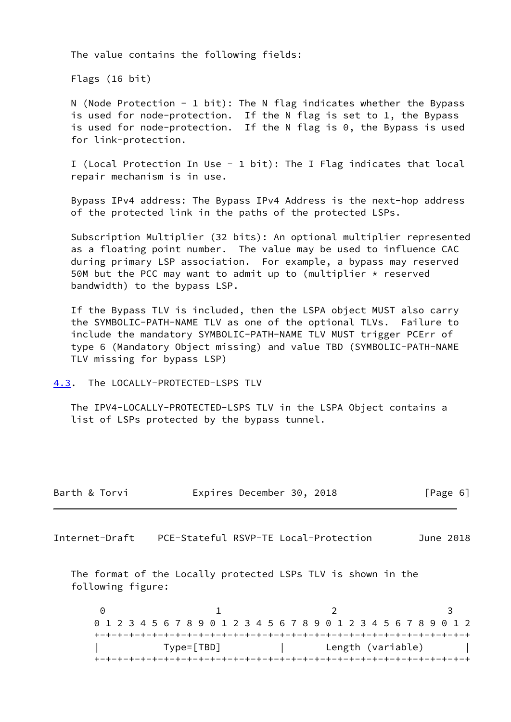The value contains the following fields:

Flags (16 bit)

 N (Node Protection - 1 bit): The N flag indicates whether the Bypass is used for node-protection. If the N flag is set to 1, the Bypass is used for node-protection. If the N flag is 0, the Bypass is used for link-protection.

 I (Local Protection In Use - 1 bit): The I Flag indicates that local repair mechanism is in use.

 Bypass IPv4 address: The Bypass IPv4 Address is the next-hop address of the protected link in the paths of the protected LSPs.

 Subscription Multiplier (32 bits): An optional multiplier represented as a floating point number. The value may be used to influence CAC during primary LSP association. For example, a bypass may reserved 50M but the PCC may want to admit up to (multiplier  $*$  reserved bandwidth) to the bypass LSP.

 If the Bypass TLV is included, then the LSPA object MUST also carry the SYMBOLIC-PATH-NAME TLV as one of the optional TLVs. Failure to include the mandatory SYMBOLIC-PATH-NAME TLV MUST trigger PCErr of type 6 (Mandatory Object missing) and value TBD (SYMBOLIC-PATH-NAME TLV missing for bypass LSP)

<span id="page-6-0"></span>[4.3](#page-6-0). The LOCALLY-PROTECTED-LSPS TLV

 The IPV4-LOCALLY-PROTECTED-LSPS TLV in the LSPA Object contains a list of LSPs protected by the bypass tunnel.

| Barth & Torvi |  | Expires December 30, 2018 |  |  | [Page 6] |  |  |
|---------------|--|---------------------------|--|--|----------|--|--|
|---------------|--|---------------------------|--|--|----------|--|--|

Internet-Draft PCE-Stateful RSVP-TE Local-Protection June 2018

 The format of the Locally protected LSPs TLV is shown in the following figure:

 $0$  1 2 3 0 1 2 3 4 5 6 7 8 9 0 1 2 3 4 5 6 7 8 9 0 1 2 3 4 5 6 7 8 9 0 1 2 +-+-+-+-+-+-+-+-+-+-+-+-+-+-+-+-+-+-+-+-+-+-+-+-+-+-+-+-+-+-+-+-+ | Type=[TBD] | Length (variable) | +-+-+-+-+-+-+-+-+-+-+-+-+-+-+-+-+-+-+-+-+-+-+-+-+-+-+-+-+-+-+-+-+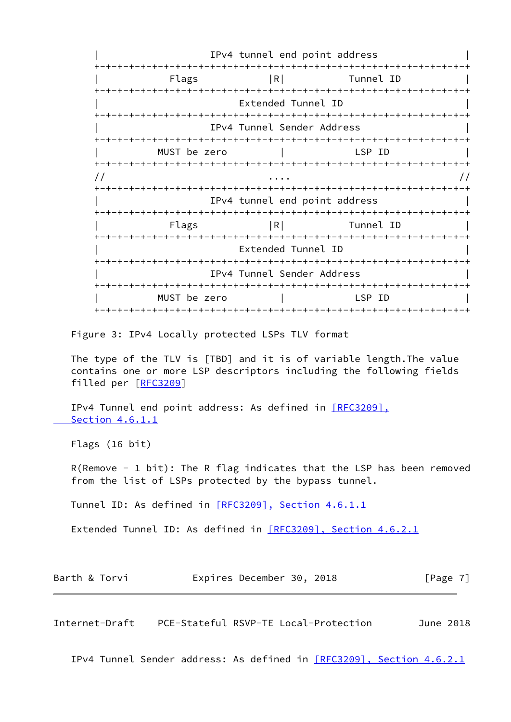IPv4 tunnel end point address +-+-+-+-+-+-+-+-+-+-+-+-+-+-+-+-+-+-+-+-+-+-+-+-+-+-+-+-+-+-+-+-+ Flags |R| Tunnel ID +-+-+-+-+-+-+-+-+-+-+-+-+-+-+-+-+-+-+-+-+-+-+-+-+-+-+-+-+-+-+-+-+ Extended Tunnel ID +-+-+-+-+-+-+-+-+-+-+-+-+-+-+-+-+-+-+-+-+-+-+-+-+-+-+-+-+-+-+-+-+ | IPv4 Tunnel Sender Address | +-+-+-+-+-+-+-+-+-+-+-+-+-+-+-+-+-+-+-+-+-+-+-+-+-+-+-+-+-+-+-+-+ | MUST be zero | LSP ID | +-+-+-+-+-+-+-+-+-+-+-+-+-+-+-+-+-+-+-+-+-+-+-+-+-+-+-+-+-+-+-+-+  $\frac{1}{2}$  ....  $\frac{1}{2}$  ....  $\frac{1}{2}$  +-+-+-+-+-+-+-+-+-+-+-+-+-+-+-+-+-+-+-+-+-+-+-+-+-+-+-+-+-+-+-+-+ IPv4 tunnel end point address +-+-+-+-+-+-+-+-+-+-+-+-+-+-+-+-+-+-+-+-+-+-+-+-+-+-+-+-+-+-+-+-+ Flags |R| Tunnel ID +-+-+-+-+-+-+-+-+-+-+-+-+-+-+-+-+-+-+-+-+-+-+-+-+-+-+-+-+-+-+-+-+ Extended Tunnel ID +-+-+-+-+-+-+-+-+-+-+-+-+-+-+-+-+-+-+-+-+-+-+-+-+-+-+-+-+-+-+-+-+ IPv4 Tunnel Sender Address +-+-+-+-+-+-+-+-+-+-+-+-+-+-+-+-+-+-+-+-+-+-+-+-+-+-+-+-+-+-+-+-+ | MUST be zero | LSP ID | +-+-+-+-+-+-+-+-+-+-+-+-+-+-+-+-+-+-+-+-+-+-+-+-+-+-+-+-+-+-+-+-+

Figure 3: IPv4 Locally protected LSPs TLV format

 The type of the TLV is [TBD] and it is of variable length.The value contains one or more LSP descriptors including the following fields filled per [[RFC3209\]](https://datatracker.ietf.org/doc/pdf/rfc3209)

IPv4 Tunnel end point address: As defined in [\[RFC3209\],](https://datatracker.ietf.org/doc/pdf/rfc3209#section-4.6.1.1)  [Section](https://datatracker.ietf.org/doc/pdf/rfc3209#section-4.6.1.1) 4.6.1.1

Flags (16 bit)

 R(Remove - 1 bit): The R flag indicates that the LSP has been removed from the list of LSPs protected by the bypass tunnel.

Tunnel ID: As defined in [\[RFC3209\], Section](https://datatracker.ietf.org/doc/pdf/rfc3209#section-4.6.1.1) 4.6.1.1

Extended Tunnel ID: As defined in [\[RFC3209\], Section](https://datatracker.ietf.org/doc/pdf/rfc3209#section-4.6.2.1) 4.6.2.1

| Barth & Torvi | Expires December 30, 2018 |  | [Page 7] |
|---------------|---------------------------|--|----------|
|---------------|---------------------------|--|----------|

<span id="page-7-0"></span>Internet-Draft PCE-Stateful RSVP-TE Local-Protection June 2018

IPv4 Tunnel Sender address: As defined in [\[RFC3209\], Section](https://datatracker.ietf.org/doc/pdf/rfc3209#section-4.6.2.1) 4.6.2.1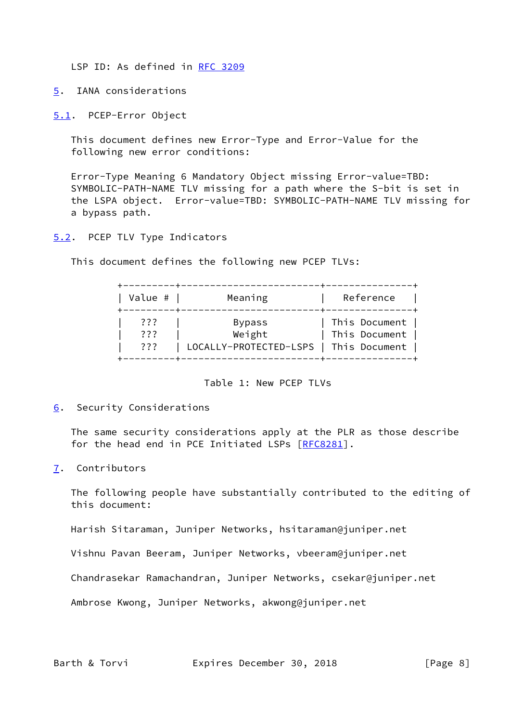LSP ID: As defined in [RFC 3209](https://datatracker.ietf.org/doc/pdf/rfc3209)

<span id="page-8-0"></span>[5](#page-8-0). IANA considerations

<span id="page-8-1"></span>[5.1](#page-8-1). PCEP-Error Object

 This document defines new Error-Type and Error-Value for the following new error conditions:

 Error-Type Meaning 6 Mandatory Object missing Error-value=TBD: SYMBOLIC-PATH-NAME TLV missing for a path where the S-bit is set in the LSPA object. Error-value=TBD: SYMBOLIC-PATH-NAME TLV missing for a bypass path.

<span id="page-8-2"></span>[5.2](#page-8-2). PCEP TLV Type Indicators

This document defines the following new PCEP TLVs:

| Value #         | Meaning                | Reference     |
|-----------------|------------------------|---------------|
| ???             | <b>Bypass</b>          | This Document |
| ???             | Weight                 | This Document |
| $??\mathrel{?}$ | LOCALLY-PROTECTED-LSPS | This Document |

Table 1: New PCEP TLVs

<span id="page-8-3"></span>[6](#page-8-3). Security Considerations

 The same security considerations apply at the PLR as those describe for the head end in PCE Initiated LSPs [\[RFC8281](https://datatracker.ietf.org/doc/pdf/rfc8281)].

<span id="page-8-4"></span>[7](#page-8-4). Contributors

 The following people have substantially contributed to the editing of this document:

Harish Sitaraman, Juniper Networks, hsitaraman@juniper.net

Vishnu Pavan Beeram, Juniper Networks, vbeeram@juniper.net

Chandrasekar Ramachandran, Juniper Networks, csekar@juniper.net

Ambrose Kwong, Juniper Networks, akwong@juniper.net

Barth & Torvi **Expires December 30, 2018** [Page 8]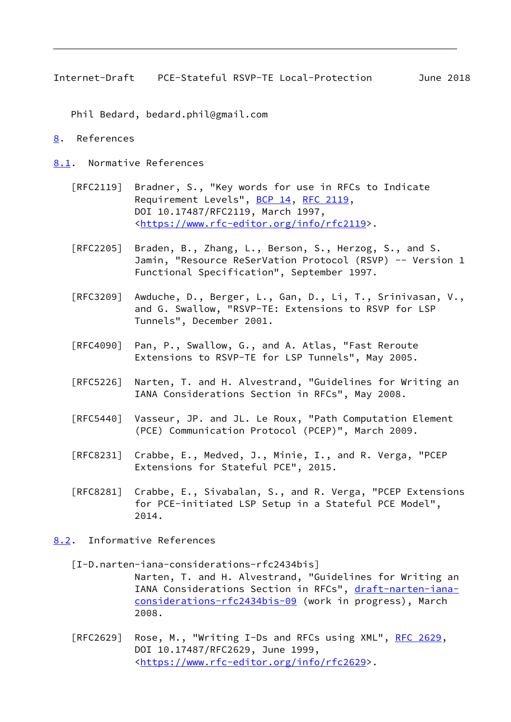<span id="page-9-1"></span>Internet-Draft PCE-Stateful RSVP-TE Local-Protection June 2018

Phil Bedard, bedard.phil@gmail.com

- <span id="page-9-0"></span>[8](#page-9-0). References
- <span id="page-9-2"></span>[8.1](#page-9-2). Normative References
	- [RFC2119] Bradner, S., "Key words for use in RFCs to Indicate Requirement Levels", [BCP 14](https://datatracker.ietf.org/doc/pdf/bcp14), [RFC 2119](https://datatracker.ietf.org/doc/pdf/rfc2119), DOI 10.17487/RFC2119, March 1997, <[https://www.rfc-editor.org/info/rfc2119>](https://www.rfc-editor.org/info/rfc2119).
	- [RFC2205] Braden, B., Zhang, L., Berson, S., Herzog, S., and S. Jamin, "Resource ReSerVation Protocol (RSVP) -- Version 1 Functional Specification", September 1997.
	- [RFC3209] Awduche, D., Berger, L., Gan, D., Li, T., Srinivasan, V., and G. Swallow, "RSVP-TE: Extensions to RSVP for LSP Tunnels", December 2001.
	- [RFC4090] Pan, P., Swallow, G., and A. Atlas, "Fast Reroute Extensions to RSVP-TE for LSP Tunnels", May 2005.
	- [RFC5226] Narten, T. and H. Alvestrand, "Guidelines for Writing an IANA Considerations Section in RFCs", May 2008.
	- [RFC5440] Vasseur, JP. and JL. Le Roux, "Path Computation Element (PCE) Communication Protocol (PCEP)", March 2009.
	- [RFC8231] Crabbe, E., Medved, J., Minie, I., and R. Verga, "PCEP Extensions for Stateful PCE", 2015.
	- [RFC8281] Crabbe, E., Sivabalan, S., and R. Verga, "PCEP Extensions for PCE-initiated LSP Setup in a Stateful PCE Model", 2014.
- <span id="page-9-3"></span>[8.2](#page-9-3). Informative References
	- [I-D.narten-iana-considerations-rfc2434bis] Narten, T. and H. Alvestrand, "Guidelines for Writing an IANA Considerations Section in RFCs", [draft-narten-iana](https://datatracker.ietf.org/doc/pdf/draft-narten-iana-considerations-rfc2434bis-09) [considerations-rfc2434bis-09](https://datatracker.ietf.org/doc/pdf/draft-narten-iana-considerations-rfc2434bis-09) (work in progress), March 2008.
	- [RFC2629] Rose, M., "Writing I-Ds and RFCs using XML", [RFC 2629](https://datatracker.ietf.org/doc/pdf/rfc2629), DOI 10.17487/RFC2629, June 1999, <[https://www.rfc-editor.org/info/rfc2629>](https://www.rfc-editor.org/info/rfc2629).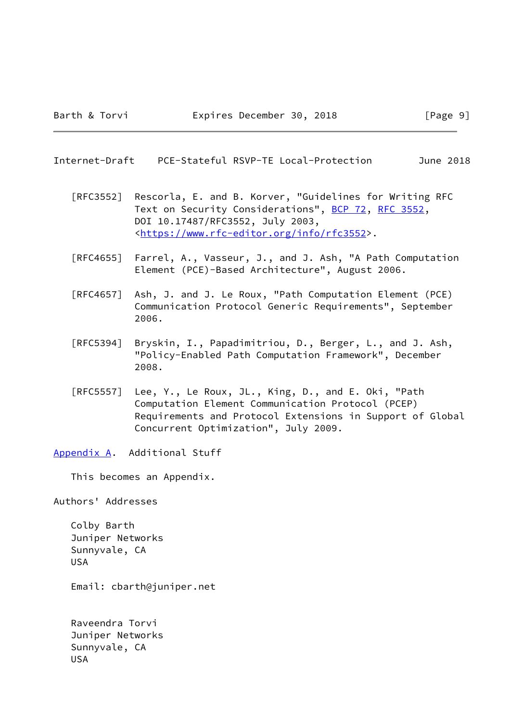<span id="page-10-1"></span>Internet-Draft PCE-Stateful RSVP-TE Local-Protection June 2018

 [RFC3552] Rescorla, E. and B. Korver, "Guidelines for Writing RFC Text on Security Considerations", [BCP 72](https://datatracker.ietf.org/doc/pdf/bcp72), [RFC 3552](https://datatracker.ietf.org/doc/pdf/rfc3552), DOI 10.17487/RFC3552, July 2003, <[https://www.rfc-editor.org/info/rfc3552>](https://www.rfc-editor.org/info/rfc3552).

- [RFC4655] Farrel, A., Vasseur, J., and J. Ash, "A Path Computation Element (PCE)-Based Architecture", August 2006.
- [RFC4657] Ash, J. and J. Le Roux, "Path Computation Element (PCE) Communication Protocol Generic Requirements", September 2006.
- [RFC5394] Bryskin, I., Papadimitriou, D., Berger, L., and J. Ash, "Policy-Enabled Path Computation Framework", December 2008.
- [RFC5557] Lee, Y., Le Roux, JL., King, D., and E. Oki, "Path Computation Element Communication Protocol (PCEP) Requirements and Protocol Extensions in Support of Global Concurrent Optimization", July 2009.

<span id="page-10-0"></span>[Appendix A.](#page-10-0) Additional Stuff

This becomes an Appendix.

Authors' Addresses

 Colby Barth Juniper Networks Sunnyvale, CA USA

Email: cbarth@juniper.net

 Raveendra Torvi Juniper Networks Sunnyvale, CA USA